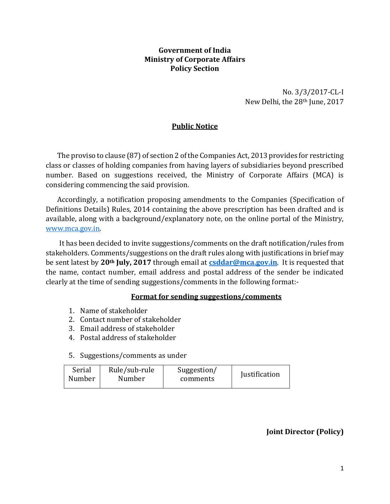### **Government of India Ministry of Corporate Affairs Policy Section**

No. 3/3/2017-CL-I New Delhi, the 28th June, 2017

# **Public Notice**

The proviso to clause (87) of section 2 of the Companies Act, 2013 provides for restricting class or classes of holding companies from having layers of subsidiaries beyond prescribed number. Based on suggestions received, the Ministry of Corporate Affairs (MCA) is considering commencing the said provision.

Accordingly, a notification proposing amendments to the Companies (Specification of Definitions Details) Rules, 2014 containing the above prescription has been drafted and is available, along with a background/explanatory note, on the online portal of the Ministry, [www.mca.gov.in.](http://www.mca.gov.in/)

It has been decided to invite suggestions/comments on the draft notification/rules from stakeholders. Comments/suggestions on the draft rules along with justifications in brief may be sent latest by **20th July, 2017** through email at **[csddar@mca.gov.in](mailto:csddar@mca.gov.in)**. It is requested that the name, contact number, email address and postal address of the sender be indicated clearly at the time of sending suggestions/comments in the following format:-

# **Format for sending suggestions/comments**

- 1. Name of stakeholder
- 2. Contact number of stakeholder
- 3. Email address of stakeholder
- 4. Postal address of stakeholder
- 5. Suggestions/comments as under

| Serial | Rule/sub-rule | Suggestion/ |                      |  |
|--------|---------------|-------------|----------------------|--|
| Number | Number        | comments    | <b>Justification</b> |  |

# **Joint Director (Policy)**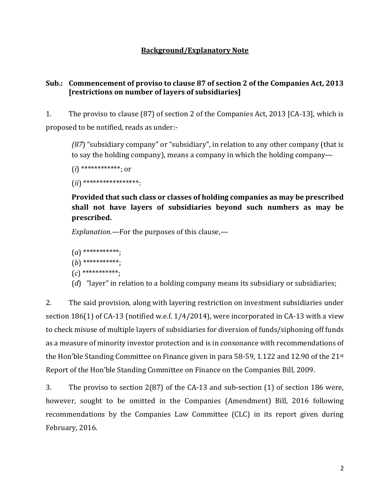### **Background/Explanatory Note**

#### **Sub.: Commencement of proviso to clause 87 of section 2 of the Companies Act, 2013 [restrictions on number of layers of subsidiaries]**

1. The proviso to clause (87) of section 2 of the Companies Act, 2013 [CA-13], which is proposed to be notified, reads as under:-

*(87*) "subsidiary company" or "subsidiary", in relation to any other company (that is to say the holding company), means a company in which the holding company—

(*i*) \*\*\*\*\*\*\*\*\*\*\*\*; or

(*ii*) \*\*\*\*\*\*\*\*\*\*\*\*\*\*\*\*\*:

**Provided that such class or classes of holding companies as may be prescribed shall not have layers of subsidiaries beyond such numbers as may be prescribed.**

*Explanation.—*For the purposes of this clause,—

```
(a) ***********;
(b) ***********;
(c) ***********;
```
(*d*) "layer" in relation to a holding company means its subsidiary or subsidiaries;

2. The said provision, along with layering restriction on investment subsidiaries under section 186(1) of CA-13 (notified w.e.f. 1/4/2014), were incorporated in CA-13 with a view to check misuse of multiple layers of subsidiaries for diversion of funds/siphoning off funds as a measure of minority investor protection and is in consonance with recommendations of the Hon'ble Standing Committee on Finance given in para 58-59, 1.122 and 12.90 of the 21st Report of the Hon'ble Standing Committee on Finance on the Companies Bill, 2009.

3. The proviso to section 2(87) of the CA-13 and sub-section (1) of section 186 were, however, sought to be omitted in the Companies (Amendment) Bill, 2016 following recommendations by the Companies Law Committee (CLC) in its report given during February, 2016.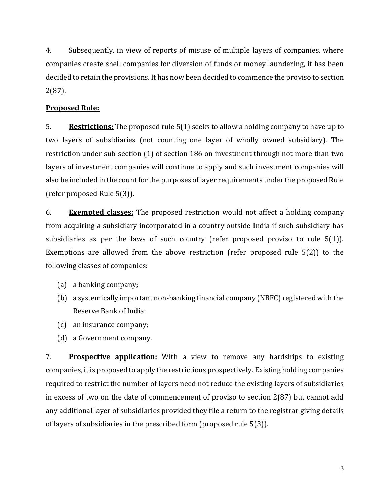4. Subsequently, in view of reports of misuse of multiple layers of companies, where companies create shell companies for diversion of funds or money laundering, it has been decided to retain the provisions. It has now been decided to commence the proviso to section 2(87).

### **Proposed Rule:**

5. **Restrictions:** The proposed rule 5(1) seeks to allow a holding company to have up to two layers of subsidiaries (not counting one layer of wholly owned subsidiary). The restriction under sub-section (1) of section 186 on investment through not more than two layers of investment companies will continue to apply and such investment companies will also be included in the count for the purposes of layer requirements under the proposed Rule (refer proposed Rule 5(3)).

6. **Exempted classes:** The proposed restriction would not affect a holding company from acquiring a subsidiary incorporated in a country outside India if such subsidiary has subsidiaries as per the laws of such country (refer proposed proviso to rule 5(1)). Exemptions are allowed from the above restriction (refer proposed rule 5(2)) to the following classes of companies:

(a) a banking company;

- (b) a systemically important non-banking financial company (NBFC) registered with the Reserve Bank of India;
- (c) an insurance company;
- (d) a Government company.

7. **Prospective application:** With a view to remove any hardships to existing companies, it is proposed to apply the restrictions prospectively. Existing holding companies required to restrict the number of layers need not reduce the existing layers of subsidiaries in excess of two on the date of commencement of proviso to section 2(87) but cannot add any additional layer of subsidiaries provided they file a return to the registrar giving details of layers of subsidiaries in the prescribed form (proposed rule 5(3)).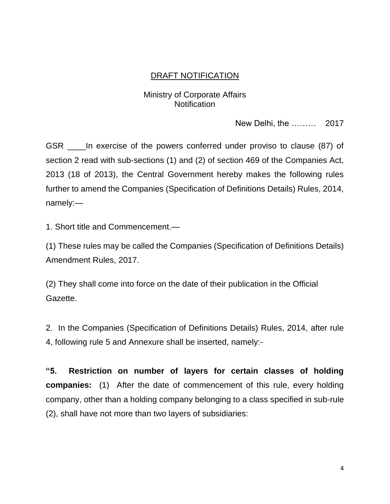# DRAFT NOTIFICATION

# Ministry of Corporate Affairs **Notification**

New Delhi, the ……… 2017

GSR \_\_\_\_In exercise of the powers conferred under proviso to clause (87) of section 2 read with sub-sections (1) and (2) of section 469 of the Companies Act, 2013 (18 of 2013), the Central Government hereby makes the following rules further to amend the Companies (Specification of Definitions Details) Rules, 2014, namely:—

1. Short title and Commencement.—

(1) These rules may be called the Companies (Specification of Definitions Details) Amendment Rules, 2017.

(2) They shall come into force on the date of their publication in the Official Gazette.

2. In the Companies (Specification of Definitions Details) Rules, 2014, after rule 4, following rule 5 and Annexure shall be inserted, namely:-

**"5. Restriction on number of layers for certain classes of holding companies:** (1) After the date of commencement of this rule, every holding company, other than a holding company belonging to a class specified in sub-rule (2), shall have not more than two layers of subsidiaries: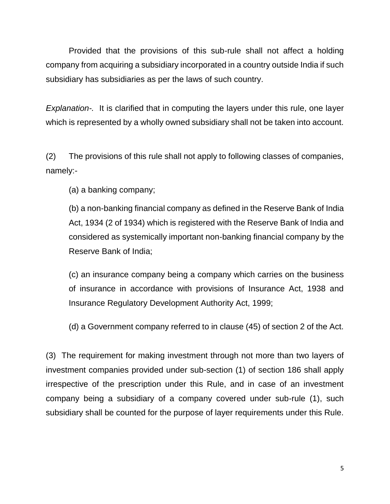Provided that the provisions of this sub-rule shall not affect a holding company from acquiring a subsidiary incorporated in a country outside India if such subsidiary has subsidiaries as per the laws of such country.

*Explanation-.* It is clarified that in computing the layers under this rule, one layer which is represented by a wholly owned subsidiary shall not be taken into account.

(2) The provisions of this rule shall not apply to following classes of companies, namely:-

(a) a banking company;

(b) a non-banking financial company as defined in the Reserve Bank of India Act, 1934 (2 of 1934) which is registered with the Reserve Bank of India and considered as systemically important non-banking financial company by the Reserve Bank of India;

(c) an insurance company being a company which carries on the business of insurance in accordance with provisions of Insurance Act, 1938 and Insurance Regulatory Development Authority Act, 1999;

(d) a Government company referred to in clause (45) of section 2 of the Act.

(3) The requirement for making investment through not more than two layers of investment companies provided under sub-section (1) of section 186 shall apply irrespective of the prescription under this Rule, and in case of an investment company being a subsidiary of a company covered under sub-rule (1), such subsidiary shall be counted for the purpose of layer requirements under this Rule.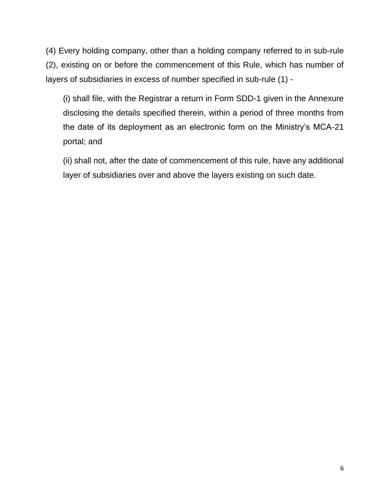(4) Every holding company, other than a holding company referred to in sub-rule (2), existing on or before the commencement of this Rule, which has number of layers of subsidiaries in excess of number specified in sub-rule (1) -

(i) shall file, with the Registrar a return in Form SDD-1 given in the Annexure disclosing the details specified therein, within a period of three months from the date of its deployment as an electronic form on the Ministry's MCA-21 portal; and

(ii) shall not, after the date of commencement of this rule, have any additional layer of subsidiaries over and above the layers existing on such date.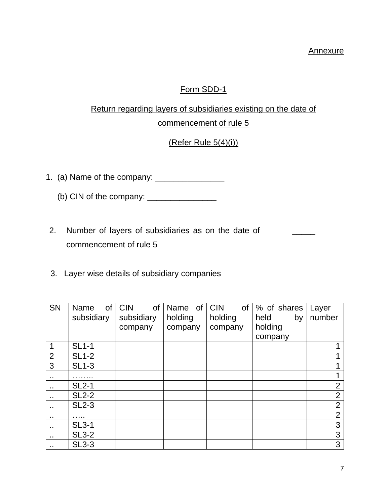#### **Annexure**

 $\overline{\phantom{a}}$ 

# Form SDD-1

# Return regarding layers of subsidiaries existing on the date of commencement of rule 5

# (Refer Rule 5(4)(i))

- 1. (a) Name of the company: \_\_\_\_\_\_\_\_\_\_\_\_\_\_\_
	- (b) CIN of the company:  $\frac{1}{2}$
- 2. Number of layers of subsidiaries as on the date of commencement of rule 5
- 3. Layer wise details of subsidiary companies

| <b>SN</b>            | <b>of</b><br>Name | <b>CIN</b><br>of | Name of CIN | of <sub>1</sub> | % of shares | Layer          |
|----------------------|-------------------|------------------|-------------|-----------------|-------------|----------------|
|                      | subsidiary        | subsidiary       | holding     | holding         | held<br>by  | number         |
|                      |                   | company          | company     | company         | holding     |                |
|                      |                   |                  |             |                 | company     |                |
| 1                    | $SL1-1$           |                  |             |                 |             |                |
| $\overline{2}$       | <b>SL1-2</b>      |                  |             |                 |             |                |
| 3                    | <b>SL1-3</b>      |                  |             |                 |             |                |
|                      |                   |                  |             |                 |             |                |
| $\ddot{\phantom{1}}$ | <b>SL2-1</b>      |                  |             |                 |             | $\overline{2}$ |
| $\ddot{\phantom{1}}$ | <b>SL2-2</b>      |                  |             |                 |             | $\overline{2}$ |
| $\sim$               | <b>SL2-3</b>      |                  |             |                 |             | $\overline{2}$ |
|                      |                   |                  |             |                 |             | $\overline{2}$ |
| $\ddot{\phantom{1}}$ | <b>SL3-1</b>      |                  |             |                 |             | 3              |
| $\blacksquare$       | <b>SL3-2</b>      |                  |             |                 |             | 3              |
| $\sim$               | $SL3-3$           |                  |             |                 |             | 3              |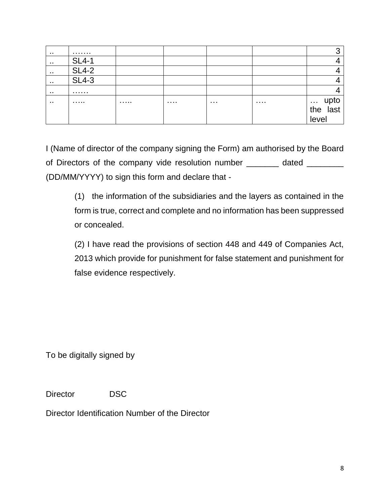| .   | .            |   |   |   |   | n                         |
|-----|--------------|---|---|---|---|---------------------------|
| .   | <b>SL4-1</b> |   |   |   |   |                           |
| . . | <b>SL4-2</b> |   |   |   |   |                           |
| . . | $SL4-3$      |   |   |   |   |                           |
| .   | .            |   |   |   |   |                           |
| . . | .            | . | . | . | . | upto<br>the last<br>level |

I (Name of director of the company signing the Form) am authorised by the Board of Directors of the company vide resolution number \_\_\_\_\_\_\_ dated \_\_\_\_\_\_\_ (DD/MM/YYYY) to sign this form and declare that -

(1) the information of the subsidiaries and the layers as contained in the form is true, correct and complete and no information has been suppressed or concealed.

(2) I have read the provisions of section 448 and 449 of Companies Act, 2013 which provide for punishment for false statement and punishment for false evidence respectively.

To be digitally signed by

Director DSC

Director Identification Number of the Director